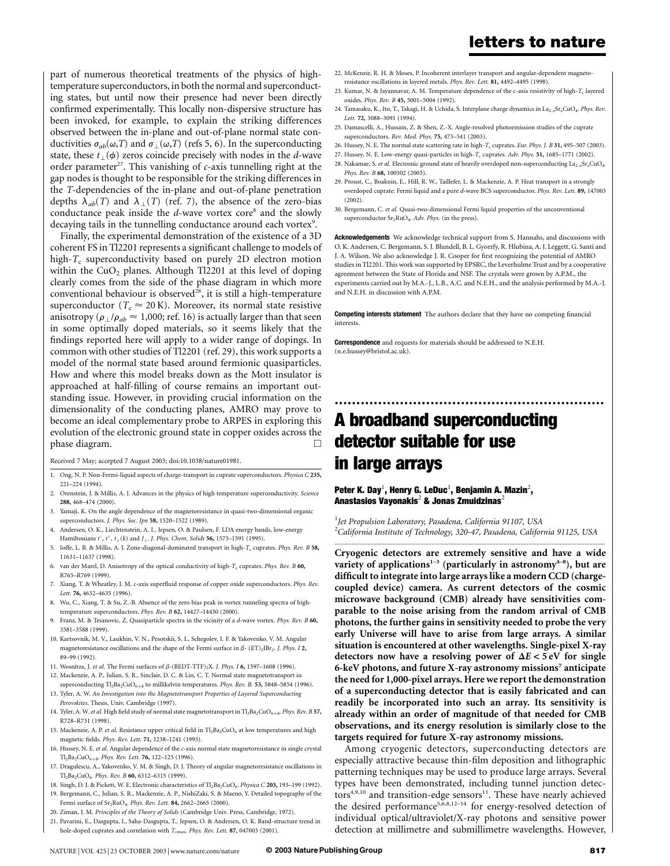part of numerous theoretical treatments of the physics of hightemperature superconductors, in both the normal and superconducting states, but until now their presence had never been directly confirmed experimentally. This locally non-dispersive structure has been invoked, for example, to explain the striking differences observed between the in-plane and out-of-plane normal state conductivities  $\sigma_{ab}(\omega,T)$  and  $\sigma_{\perp}(\omega,T)$  (refs 5, 6). In the superconducting state, these  $t_{\perp}(\phi)$  zeros coincide precisely with nodes in the d-wave order parameter<sup>27</sup>. This vanishing of  $c$ -axis tunnelling right at the gap nodes is thought to be responsible for the striking differences in the T-dependencies of the in-plane and out-of-plane penetration depths  $\lambda_{ab}(T)$  and  $\lambda_{\perp}(T)$  (ref. 7), the absence of the zero-bias conductance peak inside the  $d$ -wave vortex core<sup>8</sup> and the slowly decaying tails in the tunnelling conductance around each vortex<sup>9</sup>.

Finally, the experimental demonstration of the existence of a 3D coherent FS in Tl2201 represents a significant challenge to models of high- $T_c$  superconductivity based on purely 2D electron motion within the  $CuO<sub>2</sub>$  planes. Although Tl2201 at this level of doping clearly comes from the side of the phase diagram in which more conventional behaviour is observed<sup>28</sup>, it is still a high-temperature superconductor ( $T_c \approx 20 \text{ K}$ ). Moreover, its normal state resistive anisotropy ( $\rho_1/\rho_{ab} \approx 1,000$ ; ref. 16) is actually larger than that seen in some optimally doped materials, so it seems likely that the findings reported here will apply to a wider range of dopings. In common with other studies of Tl2201 (ref. 29), this work supports a model of the normal state based around fermionic quasiparticles. How and where this model breaks down as the Mott insulator is approached at half-filling of course remains an important outstanding issue. However, in providing crucial information on the dimensionality of the conducting planes, AMRO may prove to become an ideal complementary probe to ARPES in exploring this evolution of the electronic ground state in copper oxides across the phase diagram.

Received 7 May; accepted 7 August 2003; doi:10.1038/nature01981.

- 1. Ong, N. P. Non-Fermi-liquid aspects of charge-transport in cuprate superconductors. Physica C 235, 221–224 (1994).
- 2. Orenstein, J. & Millis, A. J. Advances in the physics of high temperature superconductivity. Science 288, 468–474 (2000).
- 3. Yamaji, K. On the angle dependence of the magnetoresistance in quasi-two-dimensional organic superconductors. *J. Phys. Soc. Jpn* 58, 1520-1522 (1989).
- 4. Andersen, O. K., Liechtenstein, A. I., Jepsen, O. & Paulsen, F. LDA energy bands, low-energy Hamiltonians  $t'$ ,  $t''$ ,  $t_{\perp}(k)$  and  $J_{\perp}$ . J. Phys. Chem. Solids 56, 1573–1591 (1995).
- Ioffe, L. B. & Millis, A. J. Zone-diagonal-dominated transport in high- $T_c$  cuprates. Phys. Rev. B 58, 11631–11637 (1998).
- 6. van der Marel, D. Anisotropy of the optical conductivity of high- $T_c$  cuprates. Phys. Rev. B 60, R765–R769 (1999).
- 7. Xiang, T. & Wheatley, J. M. c-axis superfluid response of copper oxide superconductors. Phys. Rev. Lett. 76, 4632–4635 (1996).
- 8. Wu, C., Xiang, T. & Su, Z.-B. Absence of the zero bias peak in vortex tunneling spectra of hightemperature superconductors. Phys. Rev. B 62, 14427–14430 (2000).
- 9. Franz, M. & Tesanovic, Z. Quasiparticle spectra in the vicinity of a d-wave vortex. Phys. Rev. B 60, 3581–3588 (1999).
- 10. Kartsovnik, M. V., Laukhin, V. N., Pesotskii, S. I., Schegolev, I. F. & Yakovenko, V. M. Angular magnetoresistance oscillations and the shape of the Fermi surface in  $\beta$ - (ET)<sub>2</sub>IBr<sub>2</sub>. *J. Phys. I* 2, 89–99 (1992).
- 11. Wosnitza, J. et al. The Fermi surfaces of  $\beta$ -(BEDT-TTF)<sub>2</sub>X. J. Phys. I **6**, 1597-1608 (1996). 12. Mackenzie, A. P., Julian, S. R., Sinclair, D. C. & Lin, C. T. Normal state magnetotransport in
- superconducting  $Tl_2Ba_2CuO_{6+\delta}$  to millikelvin temperatures. Phys. Rev. B. 53, 5848–5854 (1996). 13. Tyler, A. W. An Investigation into the Magnetotransport Properties of Layered Superconducting
- Perovskites. Thesis, Univ. Cambridge (1997). 14. Tyler, A. W. et al. High field study of normal state magnetotransport in Tl<sub>2</sub>Ba<sub>2</sub>CuO<sub>6+ô</sub>. Phys. Rev. B 57,
- R728–R731 (1998). 15. Mackenzie, A. P. et al. Resistance upper critical field in  $Tl_2Ba_2CuO_6$  at low temperatures and high magnetic fields. Phys. Rev. Lett. 71, 1238–1241 (1993).
- 16. Hussey, N. E. et al. Angular dependence of the c-axis normal state magnetoresistance in single crystal  $Tl_2Ba_2CuO_{6+\delta}$ . Phys. Rev. Lett. 76, 122-125 (1996).
- 17. Dragulescu, A., Yakovenko, V. M. & Singh, D. J. Theory of angular magnetoresistance oscillations in  $Tl_2Ba_2CuO_6$ . Phys. Rev. B 60, 6312-6315 (1999).
- 18. Singh, D. J. & Pickett, W. E. Electronic characteristics of  $T_1$ , Ba<sub>2</sub>CuO<sub>6</sub>. Physica C 203, 193-199 (1992).
- 19. Bergemann, C., Julian, S. R., Mackenzie, A. P., NishiZaki, S. & Maeno, Y. Detailed topography of the Fermi surface of  $Sr_2RuO_4$ . Phys. Rev. Lett. 84, 2662–2665 (2000).
- 20. Ziman, J. M. Principles of the Theory of Solids (Cambridge Univ. Press, Cambridge, 1972).
- 21. Pavarini, E., Dasgupta, I., Saha-Dasgupta, T., Jepsen, O. & Andersen, O. K. Band-structure trend in
- hole-doped cuprates and correlation with  $T_{\text{cmax}}$ . Phys. Rev. Lett. 87, 047003 (2001).
- 22. McKenzie, R. H. & Moses, P. Incoherent interlayer transport and angular-dependent magnetoresistance oscillations in layered metals. Phys. Rev. Lett. 81, 4492–4495 (1998).
- 23. Kumar, N. & Jayannavar, A. M. Temperature dependence of the  $c$ -axis resistivity of high- $T_c$  layered oxides. Phys. Rev. B 45, 5001–5004 (1992).
- 24. Tamasaku, K., Ito, T., Takagi, H. & Uchida, S. Interplane charge dynamics in La<sub>2-x</sub>Sr<sub>x</sub>CuO<sub>4</sub>. Phys. Rev. Lett. 72, 3088–3091 (1994).
- 25. Damascelli, A., Hussain, Z. & Shen, Z.-X. Angle-resolved photoemission studies of the cuprate superconductors. Rev. Mod. Phys. 75, 473–541 (2003).
- 26. Hussey, N. E. The normal state scattering rate in high- $T_c$  cuprates. Eur. Phys. J. B 31, 495–507 (2003).
- 27. Hussey, N. E. Low-energy quasi-particles in high- $T_c$  cuprates. Adv. Phys. 51, 1685–1771 (2002).
- 28. Nakamae, S. et al. Electronic ground state of heavily overdoped non-superconducting La<sub>2-x</sub>Sr<sub>x</sub>CuO<sub>4</sub>. Phys. Rev. B 68, 100502 (2003).
- 29. Proust, C., Boaknin, E., Hill, R. W., Taillefer, L. & Mackenzie, A. P. Heat transport in a strongly overdoped cuprate: Fermi liquid and a pure d-wave BCS superconductor. Phys. Rev. Lett. 89, 147003 (2002).
- 30. Bergemann, C. et al. Quasi-two-dimensional Fermi liquid properties of the unconventional superconductor Sr<sub>2</sub>RuO<sub>4</sub>. Adv. Phys. (in the press).

Acknowledgements We acknowledge technical support from S. Hannahs, and discussions with O. K. Andersen, C. Bergemann, S. J. Blundell, B. L. Gyorrfy, R. Hlubina, A. J. Leggett, G. Santi and J. A. Wilson. We also acknowledge J. R. Cooper for first recognizing the potential of AMRO studies in Tl2201. This work was supported by EPSRC, the Leverhulme Trust and by a cooperative agreement between the State of Florida and NSF. The crystals were grown by A.P.M., the experiments carried out by M.A.-J., L.B., A.C. and N.E.H., and the analysis performed by M.A.-J. and N.E.H. in discussion with A.P.M.

Competing interests statement The authors declare that they have no competing financial interests.

..............................................................

Correspondence and requests for materials should be addressed to N.E.H. (n.e.hussey@bristol.ac.uk).

# A broadband superconducting detector suitable for use in large arrays

Peter K. Day $^1$ , Henry G. LeDuc $^1$ , Benjamin A. Mazin $^2$ , Anastasios Vayonakis<sup>2</sup> & Jonas Zmuidzinas<sup>2</sup>

<sup>1</sup>Jet Propulsion Laboratory, Pasadena, California 91107, USA <sup>2</sup>California Institute of Technology, 320-47, Pasadena, California 91125, USA .............................................................................................................................................................................

Cryogenic detectors are extremely sensitive and have a wide variety of applications<sup>1-3</sup> (particularly in astronomy<sup>4-8</sup>), but are difficult to integrate into large arrays like a modern CCD (chargecoupled device) camera. As current detectors of the cosmic microwave background (CMB) already have sensitivities comparable to the noise arising from the random arrival of CMB photons, the further gains in sensitivity needed to probe the very early Universe will have to arise from large arrays. A similar situation is encountered at other wavelengths. Single-pixel X-ray detectors now have a resolving power of  $\Delta E < 5$  eV for single 6-keV photons, and future X-ray astronomy missions<sup>7</sup> anticipate the need for 1,000-pixel arrays. Here we report the demonstration of a superconducting detector that is easily fabricated and can readily be incorporated into such an array. Its sensitivity is already within an order of magnitude of that needed for CMB observations, and its energy resolution is similarly close to the targets required for future X-ray astronomy missions.

Among cryogenic detectors, superconducting detectors are especially attractive because thin-film deposition and lithographic patterning techniques may be used to produce large arrays. Several types have been demonstrated, including tunnel junction detec $tors<sup>4,9,10</sup>$  and transition-edge sensors<sup>11</sup>. These have nearly achieved the desired performance<sup>5,6,8,12-14</sup> for energy-resolved detection of individual optical/ultraviolet/X-ray photons and sensitive power detection at millimetre and submillimetre wavelengths. However,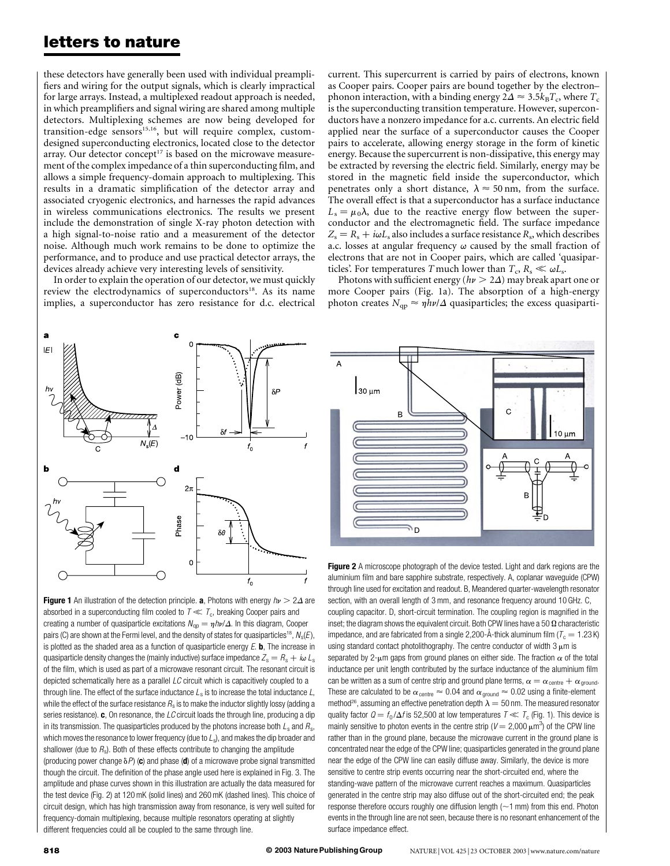these detectors have generally been used with individual preamplifiers and wiring for the output signals, which is clearly impractical for large arrays. Instead, a multiplexed readout approach is needed, in which preamplifiers and signal wiring are shared among multiple detectors. Multiplexing schemes are now being developed for transition-edge sensors $15,16$ , but will require complex, customdesigned superconducting electronics, located close to the detector array. Our detector concept<sup>17</sup> is based on the microwave measurement of the complex impedance of a thin superconducting film, and allows a simple frequency-domain approach to multiplexing. This results in a dramatic simplification of the detector array and associated cryogenic electronics, and harnesses the rapid advances in wireless communications electronics. The results we present include the demonstration of single X-ray photon detection with a high signal-to-noise ratio and a measurement of the detector noise. Although much work remains to be done to optimize the performance, and to produce and use practical detector arrays, the devices already achieve very interesting levels of sensitivity.

In order to explain the operation of our detector, we must quickly review the electrodynamics of superconductors<sup>18</sup>. As its name implies, a superconductor has zero resistance for d.c. electrical

current. This supercurrent is carried by pairs of electrons, known as Cooper pairs. Cooper pairs are bound together by the electron– phonon interaction, with a binding energy  $2\Delta \approx 3.5 k_B T_c$ , where  $T_c$ is the superconducting transition temperature. However, superconductors have a nonzero impedance for a.c. currents. An electric field applied near the surface of a superconductor causes the Cooper pairs to accelerate, allowing energy storage in the form of kinetic energy. Because the supercurrent is non-dissipative, this energy may be extracted by reversing the electric field. Similarly, energy may be stored in the magnetic field inside the superconductor, which penetrates only a short distance,  $\lambda \approx 50$  nm, from the surface. The overall effect is that a superconductor has a surface inductance  $L_s = \mu_0 \lambda$ , due to the reactive energy flow between the superconductor and the electromagnetic field. The surface impedance  $Z_s = R_s + i\omega L_s$  also includes a surface resistance  $R_s$ , which describes a.c. losses at angular frequency  $\omega$  caused by the small fraction of electrons that are not in Cooper pairs, which are called 'quasiparticles'. For temperatures T much lower than  $T_c$ ,  $R_s \ll \omega L_s$ .

Photons with sufficient energy ( $h\nu > 2\Delta$ ) may break apart one or more Cooper pairs (Fig. 1a). The absorption of a high-energy photon creates  $N_{\text{qp}} \approx \eta h \nu / \Delta$  quasiparticles; the excess quasiparti-



**Figure 1** An illustration of the detection principle. **a**, Photons with energy  $h\nu > 2\Delta$  are absorbed in a superconducting film cooled to  $T \ll T_c$ , breaking Cooper pairs and creating a number of quasiparticle excitations  $N_{\text{qp}} = \eta h\nu/\Delta$ . In this diagram, Cooper pairs (C) are shown at the Fermi level, and the density of states for quasiparticles<sup>18</sup>,  $N_s(E)$ , is plotted as the shaded area as a function of quasiparticle energy  $E$ . **b**, The increase in quasiparticle density changes the (mainly inductive) surface impedance  $Z_s = R_s + i\omega L_s$ of the film, which is used as part of a microwave resonant circuit. The resonant circuit is depicted schematically here as a parallel  $LC$  circuit which is capacitively coupled to a through line. The effect of the surface inductance  $L_s$  is to increase the total inductance  $L$ , while the effect of the surface resistance  $R_s$  is to make the inductor slightly lossy (adding a series resistance).  $c$ , On resonance, the LC circuit loads the through line, producing a dip in its transmission. The quasiparticles produced by the photons increase both  $L_s$  and  $R_s$ , which moves the resonance to lower frequency (due to  $L_s$ ), and makes the dip broader and shallower (due to  $R_s$ ). Both of these effects contribute to changing the amplitude (producing power change  $\delta P$ ) (c) and phase (d) of a microwave probe signal transmitted though the circuit. The definition of the phase angle used here is explained in Fig. 3. The amplitude and phase curves shown in this illustration are actually the data measured for the test device (Fig. 2) at 120 mK (solid lines) and 260 mK (dashed lines). This choice of circuit design, which has high transmission away from resonance, is very well suited for frequency-domain multiplexing, because multiple resonators operating at slightly different frequencies could all be coupled to the same through line.



Figure 2 A microscope photograph of the device tested. Light and dark regions are the aluminium film and bare sapphire substrate, respectively. A, coplanar waveguide (CPW) through line used for excitation and readout. B, Meandered quarter-wavelength resonator section, with an overall length of 3 mm, and resonance frequency around 10 GHz. C, coupling capacitor. D, short-circuit termination. The coupling region is magnified in the inset; the diagram shows the equivalent circuit. Both CPW lines have a 50  $\Omega$  characteristic impedance, and are fabricated from a single 2,200- $\AA$ -thick aluminum film ( $T_c = 1.23$  K) using standard contact photolithography. The centre conductor of width  $3 \mu m$  is separated by 2- $\mu$ m gaps from ground planes on either side. The fraction  $\alpha$  of the total inductance per unit length contributed by the surface inductance of the aluminium film can be written as a sum of centre strip and ground plane terms,  $\alpha = \alpha_{\text{centre}} + \alpha_{\text{ground}}$ . These are calculated to be  $\alpha_{\text{centre}} \approx 0.04$  and  $\alpha_{\text{ground}} \approx 0.02$  using a finite-element method<sup>26</sup>, assuming an effective penetration depth  $\lambda = 50$  nm. The measured resonator quality factor  $Q = f_0 / \Delta f$  is 52,500 at low temperatures  $T \ll T_c$  (Fig. 1). This device is mainly sensitive to photon events in the centre strip ( $V = 2,000 \mu m^3$ ) of the CPW line rather than in the ground plane, because the microwave current in the ground plane is concentrated near the edge of the CPW line; quasiparticles generated in the ground plane near the edge of the CPW line can easily diffuse away. Similarly, the device is more

sensitive to centre strip events occurring near the short-circuited end, where the standing-wave pattern of the microwave current reaches a maximum. Quasiparticles generated in the centre strip may also diffuse out of the short-circuited end; the peak response therefore occurs roughly one diffusion length  $(-1 \text{ mm})$  from this end. Photon events in the through line are not seen, because there is no resonant enhancement of the surface impedance effect.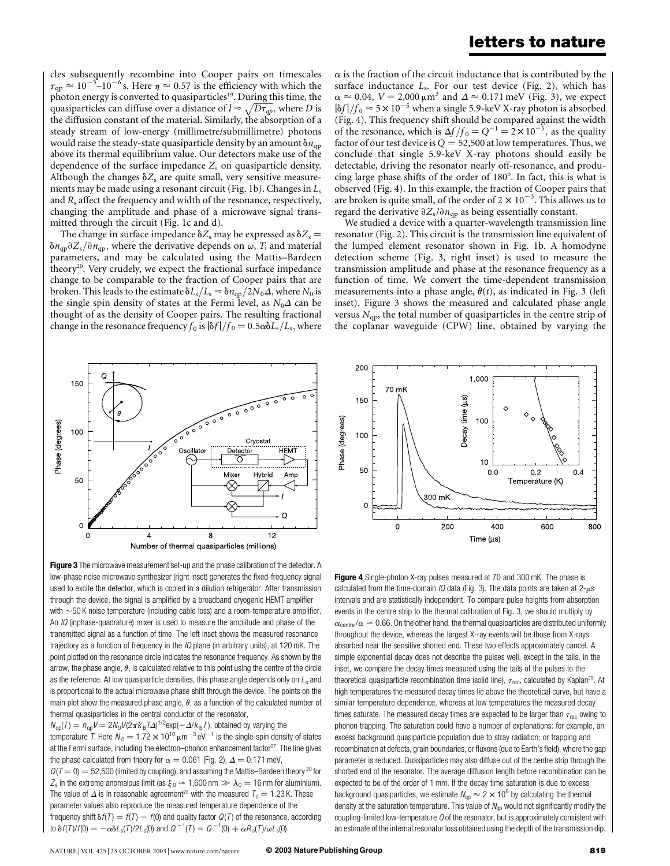cles subsequently recombine into Cooper pairs on timescales  $\tau_{qp} \approx 10^{-3}$ –10<sup>-6</sup>s. Here  $\eta \approx 0.57$  is the efficiency with which the photon energy is converted to quasiparticles<sup>19</sup>. During this time, the quasiparticles can diffuse over a distance of  $l \approx \sqrt{D\tau_{qp}}$ , where D is the diffusion constant of the material. Similarly, the absorption of a steady stream of low-energy (millimetre/submillimetre) photons would raise the steady-state quasiparticle density by an amount  $\delta n_{qp}$ above its thermal equilibrium value. Our detectors make use of the dependence of the surface impedance  $Z_s$  on quasiparticle density. Although the changes  $\delta Z_s$  are quite small, very sensitive measurements may be made using a resonant circuit (Fig. 1b). Changes in  $L_s$ and  $R_s$  affect the frequency and width of the resonance, respectively, changing the amplitude and phase of a microwave signal transmitted through the circuit (Fig. 1c and d).

The change in surface impedance  $\delta Z_s$  may be expressed as  $\delta Z_s$  =  $\delta n_{\rm qp} \partial Z_{\rm s}/\partial n_{\rm qp}$ , where the derivative depends on  $\omega$ , T, and material parameters, and may be calculated using the Mattis–Bardeen theory<sup>20</sup>. Very crudely, we expect the fractional surface impedance change to be comparable to the fraction of Cooper pairs that are broken. This leads to the estimate  $\delta L_s/L_s \approx \delta n_{qp}/2N_0\Delta$ , where  $N_0$  is the single spin density of states at the Fermi level, as  $N_0\Delta$  can be thought of as the density of Cooper pairs. The resulting fractional change in the resonance frequency  $f_0$  is  $\frac{\delta f}{f_0}=0.5\alpha\delta L_s/L_s$ , where  $\alpha$  is the fraction of the circuit inductance that is contributed by the surface inductance  $L<sub>s</sub>$ . For our test device (Fig. 2), which has  $\alpha \approx 0.04$ ,  $V = 2,000 \mu m^3$  and  $\Delta \approx 0.171$  meV (Fig. 3), we expect  $|\delta f|/f_0 \approx 5 \times 10^{-5}$  when a single 5.9-keV X-ray photon is absorbed (Fig. 4). This frequency shift should be compared against the width of the resonance, which is  $\Delta f/f_0 = Q^{-1} = 2 \times 10^{-5}$ , as the quality factor of our test device is  $Q = 52,500$  at low temperatures. Thus, we conclude that single 5.9-keV X-ray photons should easily be detectable, driving the resonator nearly off-resonance, and producing large phase shifts of the order of  $180^\circ$ . In fact, this is what is observed (Fig. 4). In this example, the fraction of Cooper pairs that are broken is quite small, of the order of  $2 \times 10^{-3}$ . This allows us to regard the derivative  $\partial Z_s/\partial n_{qp}$  as being essentially constant.

We studied a device with a quarter-wavelength transmission line resonator (Fig. 2). This circuit is the transmission line equivalent of the lumped element resonator shown in Fig. 1b. A homodyne detection scheme (Fig. 3, right inset) is used to measure the transmission amplitude and phase at the resonance frequency as a function of time. We convert the time-dependent transmission measurements into a phase angle,  $\theta(t)$ , as indicated in Fig. 3 (left inset). Figure 3 shows the measured and calculated phase angle versus  $N_{\text{qp}}$ , the total number of quasiparticles in the centre strip of the coplanar waveguide (CPW) line, obtained by varying the



Figure 3 The microwave measurement set-up and the phase calibration of the detector. A low-phase noise microwave synthesizer (right inset) generates the fixed-frequency signal used to excite the detector, which is cooled in a dilution refrigerator. After transmission through the device, the signal is amplified by a broadband cryogenic HEMT amplifier with  $\sim$  50 K noise temperature (including cable loss) and a room-temperature amplifier. An *IQ* (inphase-quadrature) mixer is used to measure the amplitude and phase of the transmitted signal as a function of time. The left inset shows the measured resonance trajectory as a function of frequency in the IQ plane (in arbitrary units), at 120 mK. The point plotted on the resonance circle indicates the resonance frequency. As shown by the arrow, the phase angle,  $\theta$ , is calculated relative to this point using the centre of the circle as the reference. At low quasiparticle densities, this phase angle depends only on  $L_s$  and is proportional to the actual microwave phase shift through the device. The points on the main plot show the measured phase angle,  $\theta$ , as a function of the calculated number of thermal quasiparticles in the central conductor of the resonator,

 $N_{\text{qp}}(T) = n_{\text{qp}}V = 2N_0V(2\pi k_B T\Delta)^{1/2} \text{exp}(-\Delta/k_B T)$ , obtained by varying the temperature T. Here  $N_0 = 1.72 \times 10^{10} \mu m^{-3} eV^{-1}$  is the single-spin density of states at the Fermi surface, including the electron–phonon enhancement factor $^{27}$ . The line gives the phase calculated from theory for  $\alpha = 0.061$  (Fig. 2),  $\Delta = 0.171$  meV,  $Q(T = 0) = 52,500$  (limited by coupling), and assuming the Mattis–Bardeen theory <sup>20</sup> for  $Z_{\rm s}$  in the extreme anomalous limit (as  $\xi_0 \approx 1,600$  nm  $\gg \lambda_0 = 16$  nm for aluminium). The value of  $\Delta$  is in reasonable agreement<sup>28</sup> with the measured  $T_c = 1.23$  K. These parameter values also reproduce the measured temperature dependence of the frequency shift  $\delta f(T) = f(T) - f(0)$  and quality factor  $Q(T)$  of the resonance, according to  $\delta f(T)/f(0) = -\alpha \delta L_s(T)/2L_s(0)$  and  $Q^{-1}(T) = Q^{-1}(0) + \alpha R_s(T)/\omega L_s(0)$ .



Figure 4 Single-photon X-ray pulses measured at 70 and 300 mK. The phase is calculated from the time-domain  $IQ$  data (Fig. 3). The data points are taken at  $2-\mu s$ intervals and are statistically independent. To compare pulse heights from absorption events in the centre strip to the thermal calibration of Fig. 3, we should multiply by  $\alpha_{\text{centre}}/\alpha \approx 0.66$ . On the other hand, the thermal quasiparticles are distributed uniformly throughout the device, whereas the largest X-ray events will be those from X-rays absorbed near the sensitive shorted end. These two effects approximately cancel. A simple exponential decay does not describe the pulses well, except in the tails. In the inset, we compare the decay times measured using the tails of the pulses to the theoretical quasiparticle recombination time (solid line),  $\tau_{\text{rec}}$ , calculated by Kaplan<sup>29</sup>. At high temperatures the measured decay times lie above the theoretical curve, but have a similar temperature dependence, whereas at low temperatures the measured decay times saturate. The measured decay times are expected to be larger than  $\tau_{rec}$  owing to phonon trapping. The saturation could have a number of explanations: for example, an excess background quasiparticle population due to stray radiation; or trapping and recombination at defects, grain boundaries, or fluxons (due to Earth's field), where the gap parameter is reduced. Quasiparticles may also diffuse out of the centre strip through the shorted end of the resonator. The average diffusion length before recombination can be expected to be of the order of 1 mm. If the decay time saturation is due to excess background quasiparticles, we estimate  $N_{\text{qp}} \approx 2 \times 10^6$  by calculating the thermal density at the saturation temperature. This value of  $N_{qp}$  would not significantly modify the coupling-limited low-temperature Q of the resonator, but is approximately consistent with an estimate of the internal resonator loss obtained using the depth of the transmission dip.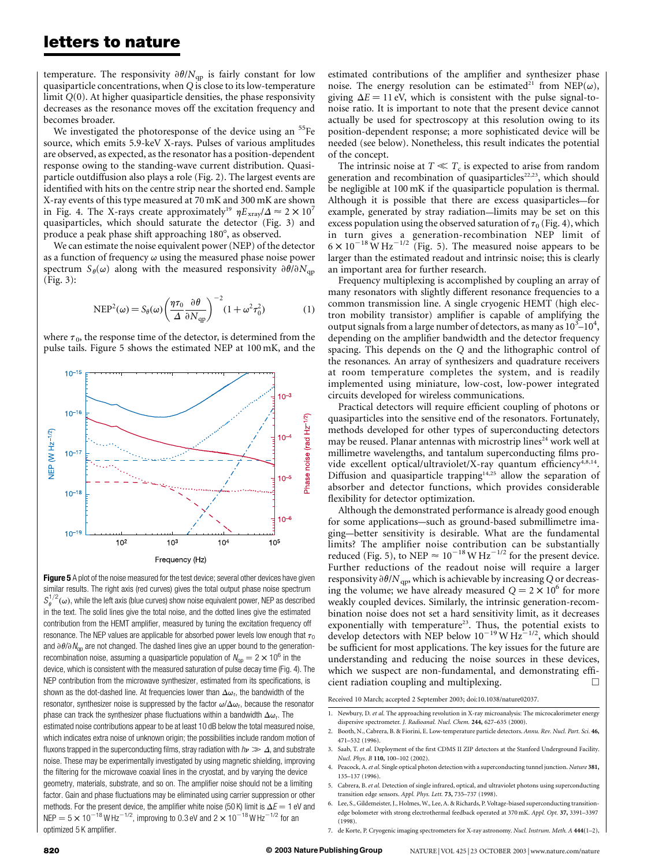temperature. The responsivity  $\partial \theta / N_{qp}$  is fairly constant for low quasiparticle concentrations, when Q is close to its low-temperature limit Q(0). At higher quasiparticle densities, the phase responsivity decreases as the resonance moves off the excitation frequency and becomes broader.

We investigated the photoresponse of the device using an <sup>55</sup>Fe source, which emits 5.9-keV X-rays. Pulses of various amplitudes are observed, as expected, as the resonator has a position-dependent response owing to the standing-wave current distribution. Quasiparticle outdiffusion also plays a role (Fig. 2). The largest events are identified with hits on the centre strip near the shorted end. Sample X-ray events of this type measured at 70 mK and 300 mK are shown in Fig. 4. The X-rays create approximately<sup>19</sup>  $\eta E_{\text{xray}}/\Delta \approx 2 \times 10^7$ quasiparticles, which should saturate the detector (Fig. 3) and produce a peak phase shift approaching 180°, as observed.

We can estimate the noise equivalent power (NEP) of the detector as a function of frequency  $\omega$  using the measured phase noise power spectrum  $S_{\theta}(\omega)$  along with the measured responsivity  $\partial \theta / \partial N_{qp}$ (Fig. 3):

$$
NEP^{2}(\omega) = S_{\theta}(\omega) \left(\frac{\eta \tau_{0}}{\Delta} \frac{\partial \theta}{\partial N_{qp}}\right)^{-2} (1 + \omega^{2} \tau_{0}^{2})
$$
 (1)

where  $\tau_0$ , the response time of the detector, is determined from the pulse tails. Figure 5 shows the estimated NEP at 100 mK, and the



Figure 5 A plot of the noise measured for the test device; several other devices have given similar results. The right axis (red curves) gives the total output phase noise spectrum  $S_{\theta}^{1/2}(\omega)$ , while the left axis (blue curves) show noise equivalent power, NEP as described in the text. The solid lines give the total noise, and the dotted lines give the estimated contribution from the HEMT amplifier, measured by tuning the excitation frequency off resonance. The NEP values are applicable for absorbed power levels low enough that  $\tau_0$ and  $\partial \theta / \partial N_{\text{on}}$  are not changed. The dashed lines give an upper bound to the generationrecombination noise, assuming a quasiparticle population of  $N_{\text{on}} = 2 \times 10^6$  in the device, which is consistent with the measured saturation of pulse decay time (Fig. 4). The NEP contribution from the microwave synthesizer, estimated from its specifications, is shown as the dot-dashed line. At frequencies lower than  $\Delta\omega_r$ , the bandwidth of the resonator, synthesizer noise is suppressed by the factor  $\omega/\Delta\omega_r$ , because the resonator phase can track the synthesizer phase fluctuations within a bandwidth  $\Delta\omega_r$ . The estimated noise contributions appear to be at least 10 dB below the total measured noise, which indicates extra noise of unknown origin; the possibilities include random motion of fluxons trapped in the superconducting films, stray radiation with  $h\nu \gg \Delta$ , and substrate noise. These may be experimentally investigated by using magnetic shielding, improving the filtering for the microwave coaxial lines in the cryostat, and by varying the device geometry, materials, substrate, and so on. The amplifier noise should not be a limiting factor. Gain and phase fluctuations may be eliminated using carrier suppression or other methods. For the present device, the amplifier white noise (50 K) limit is  $\Delta E = 1$  eV and  $NEP = 5 \times 10^{-18}$  W Hz<sup>-1/2</sup>, improving to 0.3 eV and 2  $\times 10^{-18}$  W Hz<sup>-1/2</sup> for an optimized 5 K amplifier.

estimated contributions of the amplifier and synthesizer phase noise. The energy resolution can be estimated<sup>21</sup> from NEP( $\omega$ ), giving  $\Delta E = 11$  eV, which is consistent with the pulse signal-tonoise ratio. It is important to note that the present device cannot actually be used for spectroscopy at this resolution owing to its position-dependent response; a more sophisticated device will be needed (see below). Nonetheless, this result indicates the potential of the concept.

The intrinsic noise at  $T \ll T_c$  is expected to arise from random generation and recombination of quasiparticles<sup>22,23</sup>, which should be negligible at 100 mK if the quasiparticle population is thermal. Although it is possible that there are excess quasiparticles—for example, generated by stray radiation—limits may be set on this excess population using the observed saturation of  $\tau_0$  (Fig. 4), which in turn gives a generation-recombination NEP limit of  $6 \times 10^{-18}$  W Hz<sup>-1/2</sup> (Fig. 5). The measured noise appears to be larger than the estimated readout and intrinsic noise; this is clearly an important area for further research.

Frequency multiplexing is accomplished by coupling an array of many resonators with slightly different resonance frequencies to a common transmission line. A single cryogenic HEMT (high electron mobility transistor) amplifier is capable of amplifying the output signals from a large number of detectors, as many as  $10^3 - 10^4$ , depending on the amplifier bandwidth and the detector frequency spacing. This depends on the Q and the lithographic control of the resonances. An array of synthesizers and quadrature receivers at room temperature completes the system, and is readily implemented using miniature, low-cost, low-power integrated circuits developed for wireless communications.

Practical detectors will require efficient coupling of photons or quasiparticles into the sensitive end of the resonators. Fortunately, methods developed for other types of superconducting detectors may be reused. Planar antennas with microstrip lines<sup>24</sup> work well at millimetre wavelengths, and tantalum superconducting films provide excellent optical/ultraviolet/X-ray quantum efficiency<sup>4,8,14</sup>. Diffusion and quasiparticle trapping<sup>14,25</sup> allow the separation of absorber and detector functions, which provides considerable flexibility for detector optimization.

Although the demonstrated performance is already good enough for some applications—such as ground-based submillimetre imaging—better sensitivity is desirable. What are the fundamental limits? The amplifier noise contribution can be substantially reduced (Fig. 5), to NEP  $\approx 10^{-18}$  W Hz<sup>-1/2</sup> for the present device. Further reductions of the readout noise will require a larger responsivity  $\partial \theta / N_{\rm ap}$ , which is achievable by increasing Q or decreasing the volume; we have already measured  $Q = 2 \times 10^6$  for more weakly coupled devices. Similarly, the intrinsic generation-recombination noise does not set a hard sensitivity limit, as it decreases exponentially with temperature<sup>23</sup>. Thus, the potential exists to develop detectors with NEP below  $10^{-19}$  W Hz<sup>-1/2</sup>, which should be sufficient for most applications. The key issues for the future are understanding and reducing the noise sources in these devices, which we suspect are non-fundamental, and demonstrating efficient radiation coupling and multiplexing.  $\Box$ 

Received 10 March; accepted 2 September 2003; doi:10.1038/nature02037.

<sup>1.</sup> Newbury, D. et al. The approaching revolution in X-ray microanalysis: The microcalorimeter energy dispersive spectrometer. J. Radioanal. Nucl. Chem. 244, 627–635 (2000).

<sup>2.</sup> Booth, N., Cabrera, B. & Fiorini, E. Low-temperature particle detectors. Annu. Rev. Nucl. Part. Sci. 46, 471–532 (1996).

<sup>3.</sup> Saab, T. et al. Deployment of the first CDMS II ZIP detectors at the Stanford Underground Facility. Nucl. Phys. B 110, 100–102 (2002).

<sup>4.</sup> Peacock, A. et al. Single optical photon detection with a superconducting tunnel junction. Nature 381, 135–137 (1996).

<sup>5.</sup> Cabrera, B. et al. Detection of single infrared, optical, and ultraviolet photons using superconducting transition edge sensors. Appl. Phys. Lett. 73, 735–737 (1998).

<sup>6.</sup> Lee, S., Gildemeister, J., Holmes, W., Lee, A. & Richards, P. Voltage-biased superconducting transitionedge bolometer with strong electrothermal feedback operated at 370 mK. Appl. Opt. 37, 3391–3397 (1998).

<sup>7.</sup> de Korte, P. Cryogenic imaging spectrometers for X-ray astronomy. Nucl. Instrum. Meth. A 444(1–2),